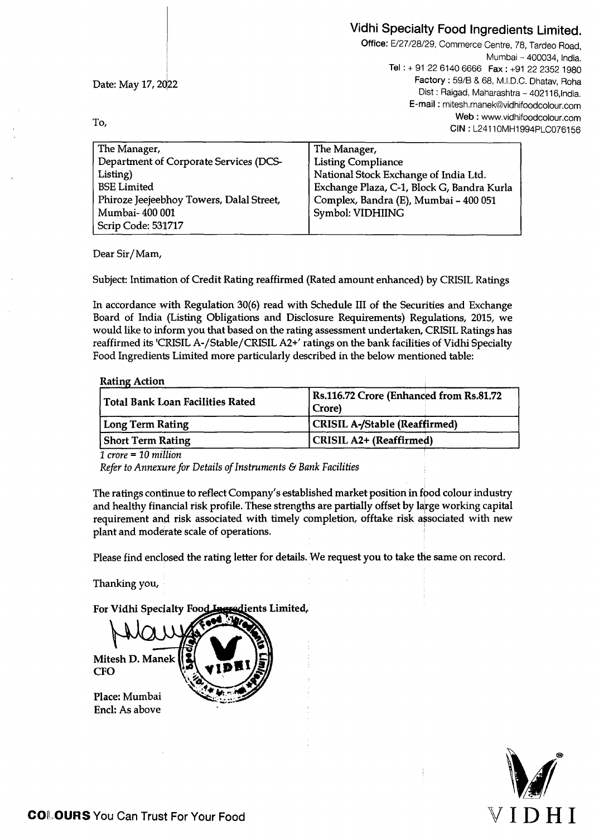# Vidhi Specialty Food Ingredients Limited.

<sup>I</sup>Date: May 17, 2Q22

To,

l

Office: E/27/28/29, Commerce Centre, 78, Tardeo Road, Mumbai - 400034, India. Tel: + 91 22 6140 6666 Fax: +91 22 2352 1980 Factory: 59/B & 68, M.l.D.C. Dhatav, Roha Dist : Raigad, Maharashtra - 402116, India. E-mail : mitesh.manek@vidhifoodcolour.com Web: www.vidhifoodcolour.com CIN : L2411OMH1994PLC076156

| The Manager,                             | The Manager,                               |
|------------------------------------------|--------------------------------------------|
| Department of Corporate Services (DCS-   | <b>Listing Compliance</b>                  |
| Listing)                                 | National Stock Exchange of India Ltd.      |
| <b>BSE</b> Limited                       | Exchange Plaza, C-1, Block G, Bandra Kurla |
| Phiroze Jeejeebhoy Towers, Dalal Street, | Complex, Bandra (E), Mumbai - 400 051      |
| Mumbai-400 001                           | Symbol: VIDHIING                           |
| Scrip Code: 531717                       |                                            |

Dear Sir/Mam,

Subject: Intimation of Credit Rating reaffirmed (Rated amount enhanced) by CRISIL Ratings

In accordance with Regulation 30(6) read with Schedule III of the Securities and Exchange Board of India (Listing Obligations and Disclosure Requirements) Regulations, 2015, we would like to inform you that based on the rating assessment undertaken, CRISIL Ratings has reaffirmed its 'CRISIL A-/Stable/ CRISIL A2+' ratings on the bank facilities of Vidhi Specialty Food Ingredients Limited more particularly described in the below mentioned table:

| <b>Rating Action</b> |
|----------------------|
|----------------------|

| Rs.116.72 Crore (Enhanced from Rs.81.72<br>Crore) |
|---------------------------------------------------|
| <b>CRISIL A-/Stable (Reaffirmed)</b>              |
| CRISIL A2+ (Reaffirmed)                           |
|                                                   |

- .. *1 crore* - *10 million* 

*Refer to Annexure for Details of Instruments* & *Bank Facilities* 

The ratings continue to reflect Company's established market position in food colour industry and healthy financial risk profile. These strengths are partially offset by large working capital requirement and risk associated with timely completion, offtake risk associated with new plant and moderate scale of operations.

Please find enclosed the rating letter for details. We request you to take the same on record.

Thanking you,

For Vidhi Specialty Food Incredients Limited,



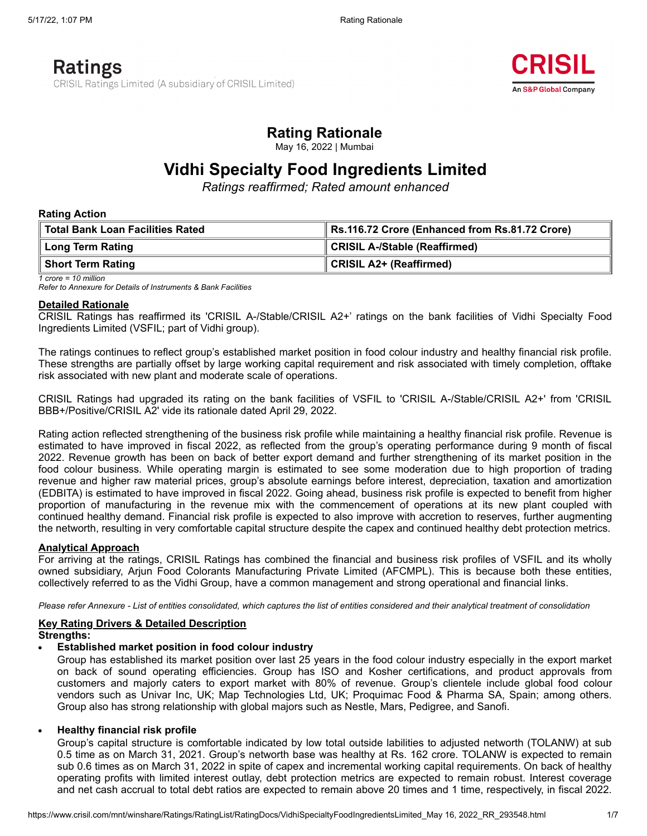

# **Rating Rationale**

May 16, 2022 | Mumbai

# **Vidhi Specialty Food Ingredients Limited**

*Ratings reaffirmed; Rated amount enhanced*

#### **Rating Action**

| Total Bank Loan Facilities Rated | Rs.116.72 Crore (Enhanced from Rs.81.72 Crore) |
|----------------------------------|------------------------------------------------|
| Long Term Rating                 | CRISIL A-/Stable (Reaffirmed)                  |
| ∥ Short Term Rating              | ∥ CRISIL A2+ (Reaffirmed)                      |

*1 crore = 10 million Refer to Annexure for Details of Instruments & Bank Facilities*

#### **Detailed Rationale**

CRISIL Ratings has reaffirmed its 'CRISIL A-/Stable/CRISIL A2+' ratings on the bank facilities of Vidhi Specialty Food Ingredients Limited (VSFIL; part of Vidhi group).

The ratings continues to reflect group's established market position in food colour industry and healthy financial risk profile. These strengths are partially offset by large working capital requirement and risk associated with timely completion, offtake risk associated with new plant and moderate scale of operations.

CRISIL Ratings had upgraded its rating on the bank facilities of VSFIL to 'CRISIL A-/Stable/CRISIL A2+' from 'CRISIL BBB+/Positive/CRISIL A2' vide its rationale dated April 29, 2022.

Rating action reflected strengthening of the business risk profile while maintaining a healthy financial risk profile. Revenue is estimated to have improved in fiscal 2022, as reflected from the group's operating performance during 9 month of fiscal 2022. Revenue growth has been on back of better export demand and further strengthening of its market position in the food colour business. While operating margin is estimated to see some moderation due to high proportion of trading revenue and higher raw material prices, group's absolute earnings before interest, depreciation, taxation and amortization (EDBITA) is estimated to have improved in fiscal 2022. Going ahead, business risk profile is expected to benefit from higher proportion of manufacturing in the revenue mix with the commencement of operations at its new plant coupled with continued healthy demand. Financial risk profile is expected to also improve with accretion to reserves, further augmenting the networth, resulting in very comfortable capital structure despite the capex and continued healthy debt protection metrics.

#### **Analytical Approach**

For arriving at the ratings, CRISIL Ratings has combined the financial and business risk profiles of VSFIL and its wholly owned subsidiary, Arjun Food Colorants Manufacturing Private Limited (AFCMPL). This is because both these entities, collectively referred to as the Vidhi Group, have a common management and strong operational and financial links.

Please refer Annexure - List of entities consolidated, which captures the list of entities considered and their analytical treatment of consolidation

# **Key Rating Drivers & Detailed Description**

#### **Strengths:**

**Established market position in food colour industry**

Group has established its market position over last 25 years in the food colour industry especially in the export market on back of sound operating efficiencies. Group has ISO and Kosher certifications, and product approvals from customers and majorly caters to export market with 80% of revenue. Group's clientele include global food colour vendors such as Univar Inc, UK; Map Technologies Ltd, UK; Proquimac Food & Pharma SA, Spain; among others. Group also has strong relationship with global majors such as Nestle, Mars, Pedigree, and Sanofi.

#### **Healthy financial risk profile**

Group's capital structure is comfortable indicated by low total outside labilities to adjusted networth (TOLANW) at sub 0.5 time as on March 31, 2021. Group's networth base was healthy at Rs. 162 crore. TOLANW is expected to remain sub 0.6 times as on March 31, 2022 in spite of capex and incremental working capital requirements. On back of healthy operating profits with limited interest outlay, debt protection metrics are expected to remain robust. Interest coverage and net cash accrual to total debt ratios are expected to remain above 20 times and 1 time, respectively, in fiscal 2022.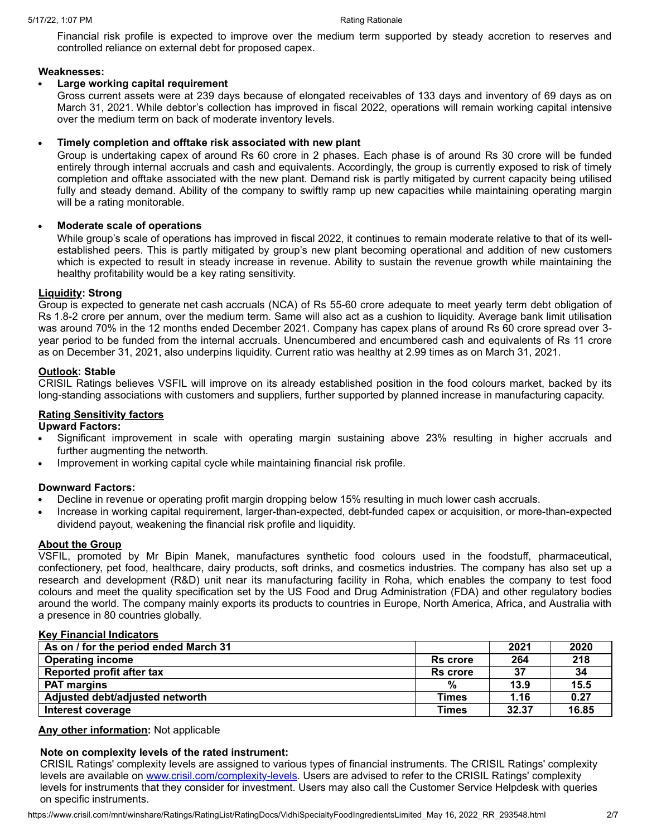Financial risk profile is expected to improve over the medium term supported by steady accretion to reserves and controlled reliance on external debt for proposed capex.

### **Weaknesses:**

### **Large working capital requirement**

Gross current assets were at 239 days because of elongated receivables of 133 days and inventory of 69 days as on March 31, 2021. While debtor's collection has improved in fiscal 2022, operations will remain working capital intensive over the medium term on back of moderate inventory levels.

### **Timely completion and offtake risk associated with new plant**

Group is undertaking capex of around Rs 60 crore in 2 phases. Each phase is of around Rs 30 crore will be funded entirely through internal accruals and cash and equivalents. Accordingly, the group is currently exposed to risk of timely completion and offtake associated with the new plant. Demand risk is partly mitigated by current capacity being utilised fully and steady demand. Ability of the company to swiftly ramp up new capacities while maintaining operating margin will be a rating monitorable.

## **Moderate scale of operations**

While group's scale of operations has improved in fiscal 2022, it continues to remain moderate relative to that of its wellestablished peers. This is partly mitigated by group's new plant becoming operational and addition of new customers which is expected to result in steady increase in revenue. Ability to sustain the revenue growth while maintaining the healthy profitability would be a key rating sensitivity.

#### **Liquidity: Strong**

Group is expected to generate net cash accruals (NCA) of Rs 55-60 crore adequate to meet yearly term debt obligation of Rs 1.8-2 crore per annum, over the medium term. Same will also act as a cushion to liquidity. Average bank limit utilisation was around 70% in the 12 months ended December 2021. Company has capex plans of around Rs 60 crore spread over 3 year period to be funded from the internal accruals. Unencumbered and encumbered cash and equivalents of Rs 11 crore as on December 31, 2021, also underpins liquidity. Current ratio was healthy at 2.99 times as on March 31, 2021.

## **Outlook: Stable**

CRISIL Ratings believes VSFIL will improve on its already established position in the food colours market, backed by its long-standing associations with customers and suppliers, further supported by planned increase in manufacturing capacity.

## **Rating Sensitivity factors**

#### **Upward Factors:**

- Significant improvement in scale with operating margin sustaining above 23% resulting in higher accruals and further augmenting the networth.
- Improvement in working capital cycle while maintaining financial risk profile.

#### **Downward Factors:**

- Decline in revenue or operating profit margin dropping below 15% resulting in much lower cash accruals.
- Increase in working capital requirement, larger-than-expected, debt-funded capex or acquisition, or more-than-expected dividend payout, weakening the financial risk profile and liquidity.

### **About the Group**

VSFIL, promoted by Mr Bipin Manek, manufactures synthetic food colours used in the foodstuff, pharmaceutical, confectionery, pet food, healthcare, dairy products, soft drinks, and cosmetics industries. The company has also set up a research and development (R&D) unit near its manufacturing facility in Roha, which enables the company to test food colours and meet the quality specification set by the US Food and Drug Administration (FDA) and other regulatory bodies around the world. The company mainly exports its products to countries in Europe, North America, Africa, and Australia with a presence in 80 countries globally.

#### **Key Financial Indicators**

| As on / for the period ended March 31 |                 | 2021  | 2020  |
|---------------------------------------|-----------------|-------|-------|
| <b>Operating income</b>               | <b>Rs</b> crore | 264   | 218   |
| Reported profit after tax             | <b>Rs</b> crore | 37    | 34    |
| <b>PAT margins</b>                    | %               | 13.9  | 15.5  |
| Adjusted debt/adjusted networth       | <b>Times</b>    | 1.16  | 0.27  |
| Interest coverage                     | <b>Times</b>    | 32.37 | 16.85 |

**Any other information:** Not applicable

## **Note on complexity levels of the rated instrument:**

CRISIL Ratings' complexity levels are assigned to various types of financial instruments. The CRISIL Ratings' complexity levels are available on [www.crisil.com/complexity-levels](http://www.crisil.com/complexity-levels). Users are advised to refer to the CRISIL Ratings' complexity levels for instruments that they consider for investment. Users may also call the Customer Service Helpdesk with queries on specific instruments.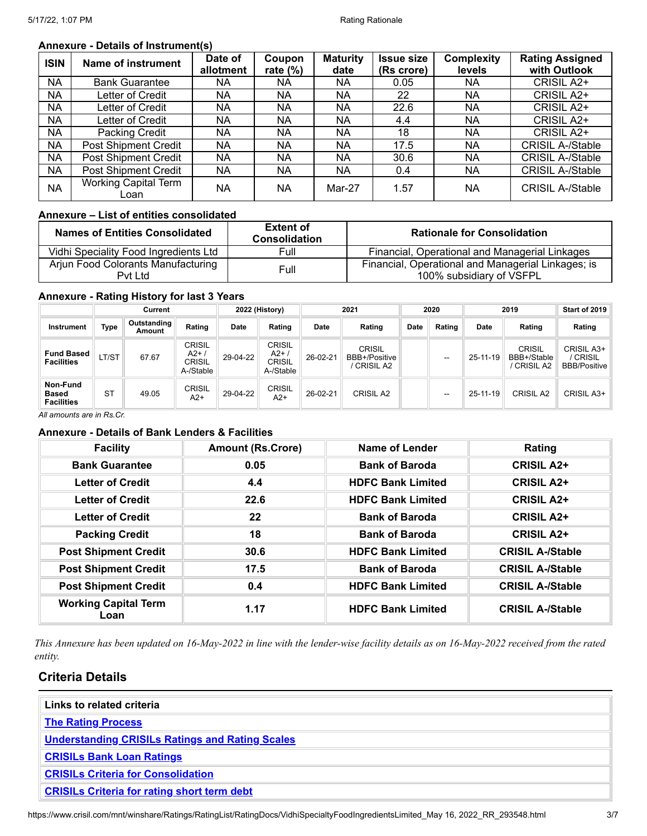## **Annexure - Details of Instrument(s)**

| <b>ISIN</b> | Name of instrument                  | Date of<br>allotment | Coupon<br>rate $(\%)$ | <b>Maturity</b><br>date | <b>Issue size</b><br>(Rs crore) | <b>Complexity</b><br>levels | <b>Rating Assigned</b><br>with Outlook |
|-------------|-------------------------------------|----------------------|-----------------------|-------------------------|---------------------------------|-----------------------------|----------------------------------------|
| NA          | <b>Bank Guarantee</b>               | NA                   | NA                    | NA                      | 0.05                            | NA.                         | CRISIL A2+                             |
| NA          | Letter of Credit                    | NA                   | NA                    | NA                      | 22                              | NA.                         | CRISIL A2+                             |
| <b>NA</b>   | Letter of Credit                    | NA                   | <b>NA</b>             | NA                      | 22.6                            | <b>NA</b>                   | CRISIL A2+                             |
| NA          | Letter of Credit                    | NA.                  | NA                    | NA                      | 4.4                             | <b>NA</b>                   | CRISIL A2+                             |
| NA          | Packing Credit                      | NA                   | NA                    | NA                      | 18                              | NA.                         | CRISIL A2+                             |
| NA          | <b>Post Shipment Credit</b>         | NA.                  | NA                    | NA                      | 17.5                            | NA.                         | <b>CRISIL A-/Stable</b>                |
| NA          | <b>Post Shipment Credit</b>         | <b>NA</b>            | <b>NA</b>             | NA                      | 30.6                            | <b>NA</b>                   | <b>CRISIL A-/Stable</b>                |
| NA          | <b>Post Shipment Credit</b>         | NA.                  | <b>NA</b>             | NA                      | 0.4                             | NA.                         | <b>CRISIL A-/Stable</b>                |
| <b>NA</b>   | <b>Working Capital Term</b><br>Loan | <b>NA</b>            | <b>NA</b>             | Mar-27                  | 1.57                            | <b>NA</b>                   | <b>CRISIL A-/Stable</b>                |

## **Annexure – List of entities consolidated**

| <b>Names of Entities Consolidated</b>         | <b>Extent of</b><br><b>Consolidation</b> | <b>Rationale for Consolidation</b>                                             |
|-----------------------------------------------|------------------------------------------|--------------------------------------------------------------------------------|
| Vidhi Speciality Food Ingredients Ltd         | Full                                     | Financial, Operational and Managerial Linkages                                 |
| Arjun Food Colorants Manufacturing<br>Pyt Ltd | Full                                     | Financial, Operational and Managerial Linkages; is<br>100% subsidiary of VSFPL |

#### **Annexure - Rating History for last 3 Years**

|                                        |           | Current               |                                        |          | 2022 (History)                                      |             | 2021                                          |      | 2020                     |                | 2019                                             | Start of 2019                                 |
|----------------------------------------|-----------|-----------------------|----------------------------------------|----------|-----------------------------------------------------|-------------|-----------------------------------------------|------|--------------------------|----------------|--------------------------------------------------|-----------------------------------------------|
| Instrument                             | Type      | Outstanding<br>Amount | Rating                                 | Date     | Rating                                              | <b>Date</b> | Rating                                        | Date | Rating                   | <b>Date</b>    | Rating                                           | Rating                                        |
| <b>Fund Based</b><br><b>Facilities</b> | LT/ST     | 67.67                 | CRISIL<br>$A2+$<br>CRISIL<br>A-/Stable | 29-04-22 | <b>CRISIL</b><br>A2+.<br><b>CRISIL</b><br>A-/Stable | 26-02-21    | <b>CRISIL</b><br>BBB+/Positive<br>' CRISIL A2 |      | --                       | 25-11-19       | <b>CRISIL</b><br>BBB+/Stable<br><b>CRISIL A2</b> | CRISIL A3+<br>/ CRISIL<br><b>BBB/Positive</b> |
| Non-Fund<br>Based<br><b>Facilities</b> | <b>ST</b> | 49.05                 | CRISIL<br>$A2+$                        | 29-04-22 | <b>CRISIL</b><br>$A2+$                              | 26-02-21    | <b>CRISIL A2</b>                              |      | $\overline{\phantom{a}}$ | $25 - 11 - 19$ | <b>CRISIL A2</b>                                 | CRISIL A3+                                    |

*All amounts are in Rs.Cr.*

## **Annexure - Details of Bank Lenders & Facilities**

| <b>Facility</b>                     | <b>Amount (Rs.Crore)</b> | Name of Lender           | Rating                  |
|-------------------------------------|--------------------------|--------------------------|-------------------------|
| <b>Bank Guarantee</b>               | 0.05                     | <b>Bank of Baroda</b>    | <b>CRISIL A2+</b>       |
| <b>Letter of Credit</b>             | 4.4                      | <b>HDFC Bank Limited</b> | <b>CRISIL A2+</b>       |
| <b>Letter of Credit</b>             | 22.6                     | <b>HDFC Bank Limited</b> | <b>CRISIL A2+</b>       |
| <b>Letter of Credit</b>             | 22                       | <b>Bank of Baroda</b>    | <b>CRISIL A2+</b>       |
| <b>Packing Credit</b>               | 18                       | <b>Bank of Baroda</b>    | <b>CRISIL A2+</b>       |
| <b>Post Shipment Credit</b>         | 30.6                     | <b>HDFC Bank Limited</b> | <b>CRISIL A-/Stable</b> |
| <b>Post Shipment Credit</b>         | 17.5                     | <b>Bank of Baroda</b>    | <b>CRISIL A-/Stable</b> |
| <b>Post Shipment Credit</b>         | 0.4                      | <b>HDFC Bank Limited</b> | <b>CRISIL A-/Stable</b> |
| <b>Working Capital Term</b><br>Loan | 1.17                     | <b>HDFC Bank Limited</b> | <b>CRISIL A-/Stable</b> |

This Annexure has been updated on 16-May-2022 in line with the lender-wise facility details as on 16-May-2022 received from the rated *entity.*

## **Criteria Details**

| Links to related criteria                              |  |
|--------------------------------------------------------|--|
| <b>The Rating Process</b>                              |  |
| <b>Understanding CRISILs Ratings and Rating Scales</b> |  |
| <b>CRISILs Bank Loan Ratings</b>                       |  |
| <b>CRISILs Criteria for Consolidation</b>              |  |
| <b>CRISILs Criteria for rating short term debt</b>     |  |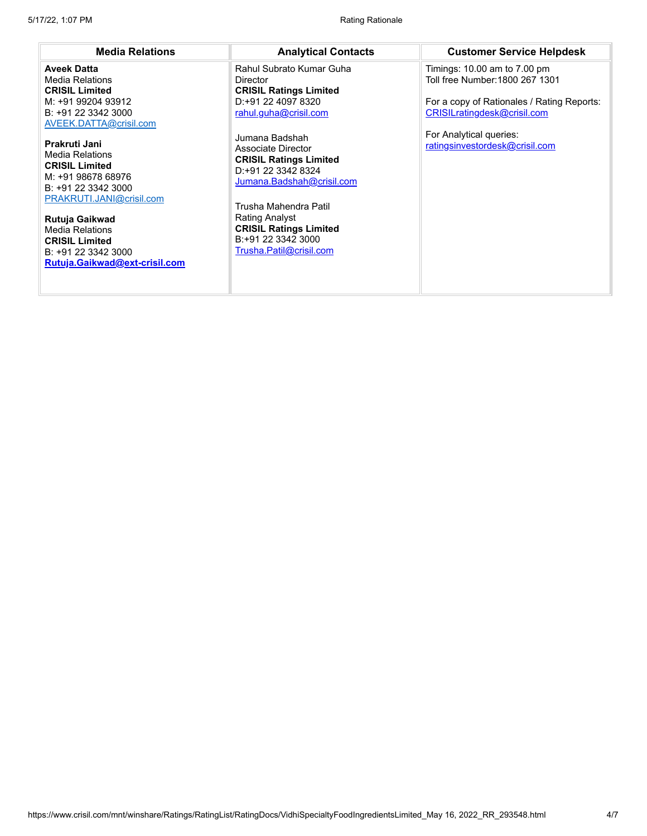| <b>Media Relations</b>                                                                                                                                                                                                                                                                                                                                                                                                 | <b>Analytical Contacts</b>                                                                                                                                                                                                                                                                                                                                                           | <b>Customer Service Helpdesk</b>                                                                                                                                                                          |
|------------------------------------------------------------------------------------------------------------------------------------------------------------------------------------------------------------------------------------------------------------------------------------------------------------------------------------------------------------------------------------------------------------------------|--------------------------------------------------------------------------------------------------------------------------------------------------------------------------------------------------------------------------------------------------------------------------------------------------------------------------------------------------------------------------------------|-----------------------------------------------------------------------------------------------------------------------------------------------------------------------------------------------------------|
| <b>Aveek Datta</b><br><b>Media Relations</b><br><b>CRISIL Limited</b><br>M: +91 99204 93912<br>B: +91 22 3342 3000<br>AVEEK.DATTA@crisil.com<br>Prakruti Jani<br><b>Media Relations</b><br><b>CRISIL Limited</b><br>M: +91 98678 68976<br>B: +91 22 3342 3000<br>PRAKRUTI.JANI@crisil.com<br>Rutuja Gaikwad<br><b>Media Relations</b><br><b>CRISIL Limited</b><br>B: +91 22 3342 3000<br>Rutuja.Gaikwad@ext-crisil.com | Rahul Subrato Kumar Guha<br>Director<br><b>CRISIL Ratings Limited</b><br>D:+91 22 4097 8320<br>rahul.guha@crisil.com<br>Jumana Badshah<br>Associate Director<br><b>CRISIL Ratings Limited</b><br>D:+91 22 3342 8324<br>Jumana.Badshah@crisil.com<br>Trusha Mahendra Patil<br><b>Rating Analyst</b><br><b>CRISIL Ratings Limited</b><br>B:+91 22 3342 3000<br>Trusha.Patil@crisil.com | Timings: 10.00 am to 7.00 pm<br>Toll free Number: 1800 267 1301<br>For a copy of Rationales / Rating Reports:<br>CRISILratingdesk@crisil.com<br>For Analytical queries:<br>ratingsinvestordesk@crisil.com |
|                                                                                                                                                                                                                                                                                                                                                                                                                        |                                                                                                                                                                                                                                                                                                                                                                                      |                                                                                                                                                                                                           |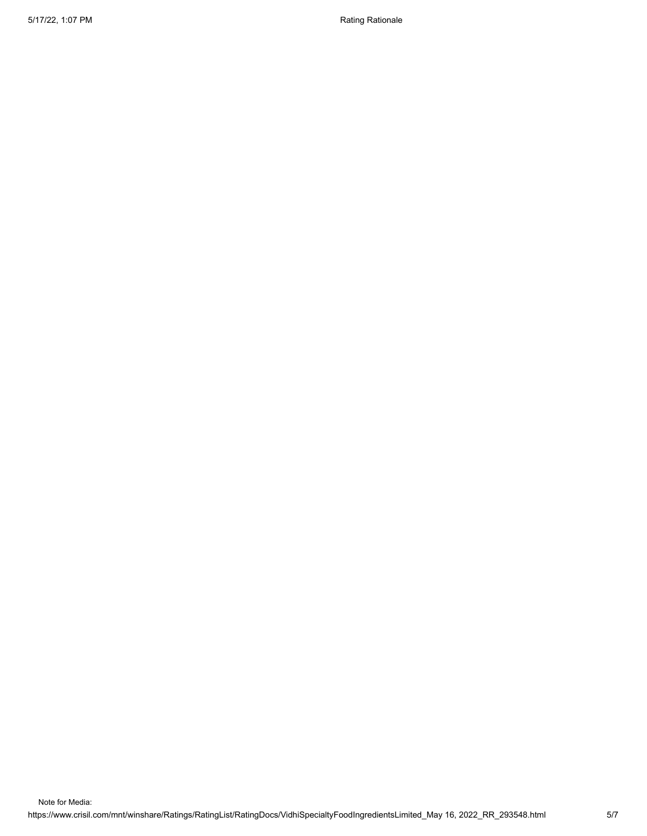5/17/22, 1:07 PM Rationale Rationale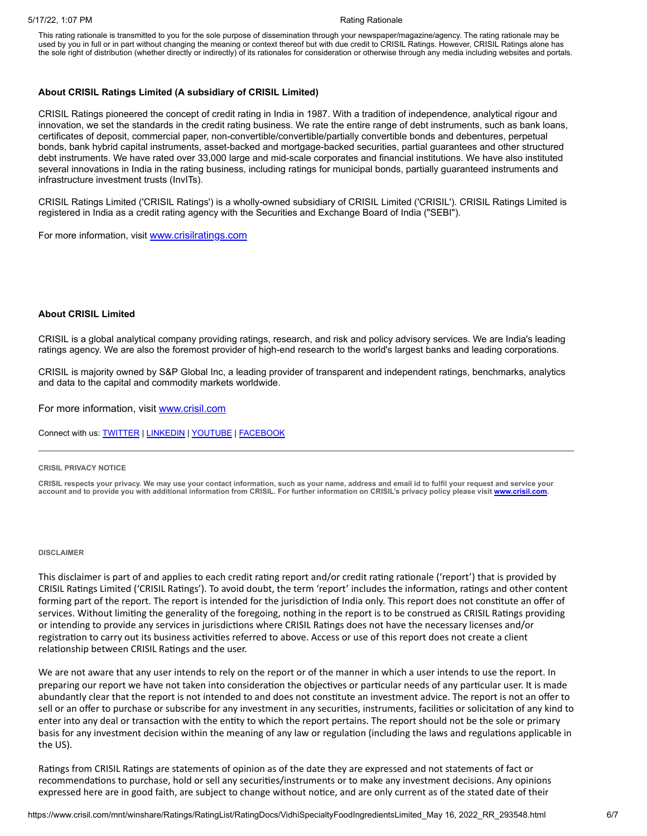This rating rationale is transmitted to you for the sole purpose of dissemination through your newspaper/magazine/agency. The rating rationale may be used by you in full or in part without changing the meaning or context thereof but with due credit to CRISIL Ratings. However, CRISIL Ratings alone has the sole right of distribution (whether directly or indirectly) of its rationales for consideration or otherwise through any media including websites and portals.

#### **About CRISIL Ratings Limited (A subsidiary of CRISIL Limited)**

CRISIL Ratings pioneered the concept of credit rating in India in 1987. With a tradition of independence, analytical rigour and innovation, we set the standards in the credit rating business. We rate the entire range of debt instruments, such as bank loans, certificates of deposit, commercial paper, non-convertible/convertible/partially convertible bonds and debentures, perpetual bonds, bank hybrid capital instruments, asset-backed and mortgage-backed securities, partial guarantees and other structured debt instruments. We have rated over 33,000 large and mid-scale corporates and financial institutions. We have also instituted several innovations in India in the rating business, including ratings for municipal bonds, partially guaranteed instruments and infrastructure investment trusts (InvITs).

CRISIL Ratings Limited ('CRISIL Ratings') is a wholly-owned subsidiary of CRISIL Limited ('CRISIL'). CRISIL Ratings Limited is registered in India as a credit rating agency with the Securities and Exchange Board of India ("SEBI").

For more information, visit **[www.crisilratings.com](http://www.crisilratings.com/)** 

#### **About CRISIL Limited**

CRISIL is a global analytical company providing ratings, research, and risk and policy advisory services. We are India's leading ratings agency. We are also the foremost provider of high-end research to the world's largest banks and leading corporations.

CRISIL is majority owned by S&P Global Inc, a leading provider of transparent and independent ratings, benchmarks, analytics and data to the capital and commodity markets worldwide.

For more information, visit [www.crisil.com](http://www.crisil.com/)

Connect with us: [TWITTER](https://twitter.com/CRISILLimited) | [LINKEDIN](http://www.linkedin.com/company/crisil) | [YOUTUBE](https://www.youtube.com/user/CRISILLimited) | [FACEBOOK](https://www.facebook.com/CRISILLimited)

#### **CRISIL PRIVACY NOTICE**

CRISIL respects your privacy. We may use your contact information, such as your name, address and email id to fulfil your request and service your account and to provide you with additional information from CRISIL. For further information on CRISIL's privacy policy please visit [www.crisil.com.](https://www.crisil.com/en/home/crisil-privacy-notice.html)

#### **DISCLAIMER**

This disclaimer is part of and applies to each credit rating report and/or credit rating rationale ('report') that is provided by CRISIL Ratings Limited ('CRISIL Ratings'). To avoid doubt, the term 'report' includes the information, ratings and other content forming part of the report. The report is intended for the jurisdiction of India only. This report does not constitute an offer of services. Without limiting the generality of the foregoing, nothing in the report is to be construed as CRISIL Ratings providing or intending to provide any services in jurisdictions where CRISIL Ratings does not have the necessary licenses and/or registration to carry out its business activities referred to above. Access or use of this report does not create a client relationship between CRISIL Ratings and the user.

We are not aware that any user intends to rely on the report or of the manner in which a user intends to use the report. In preparing our report we have not taken into consideration the objectives or particular needs of any particular user. It is made abundantly clear that the report is not intended to and does not constitute an investment advice. The report is not an offer to sell or an offer to purchase or subscribe for any investment in any securities, instruments, facilities or solicitation of any kind to enter into any deal or transaction with the entity to which the report pertains. The report should not be the sole or primary basis for any investment decision within the meaning of any law or regulation (including the laws and regulations applicable in the US).

Ratings from CRISIL Ratings are statements of opinion as of the date they are expressed and not statements of fact or recommendations to purchase, hold or sell any securities/instruments or to make any investment decisions. Any opinions expressed here are in good faith, are subject to change without notice, and are only current as of the stated date of their